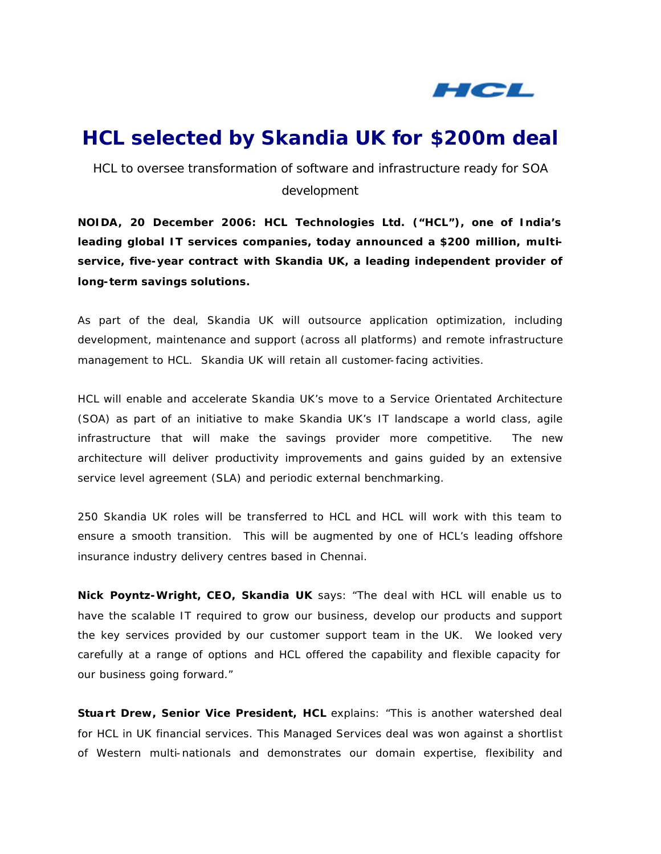

# **HCL selected by Skandia UK for \$200m deal**

*HCL to oversee transformation of software and infrastructure ready for SOA development*

**NOIDA, 20 December 2006: HCL Technologies Ltd. ("HCL"), one of India's leading global IT services companies, today announced a \$200 million, multiservice, five-year contract with Skandia UK, a leading independent provider of long-term savings solutions.**

As part of the deal, Skandia UK will outsource application optimization, including development, maintenance and support (across all platforms) and remote infrastructure management to HCL. Skandia UK will retain all customer-facing activities.

HCL will enable and accelerate Skandia UK's move to a Service Orientated Architecture (SOA) as part of an initiative to make Skandia UK's IT landscape a world class, agile infrastructure that will make the savings provider more competitive. The new architecture will deliver productivity improvements and gains guided by an extensive service level agreement (SLA) and periodic external benchmarking.

250 Skandia UK roles will be transferred to HCL and HCL will work with this team to ensure a smooth transition. This will be augmented by one of HCL's leading offshore insurance industry delivery centres based in Chennai.

**Nick Poyntz-Wright, CEO, Skandia UK** says: "The deal with HCL will enable us to have the scalable IT required to grow our business, develop our products and support the key services provided by our customer support team in the UK. We looked very carefully at a range of options and HCL offered the capability and flexible capacity for our business going forward."

**Stuart Drew, Senior Vice President, HCL** explains: "This is another watershed deal for HCL in UK financial services. This Managed Services deal was won against a shortlist of Western multi-nationals and demonstrates our domain expertise, flexibility and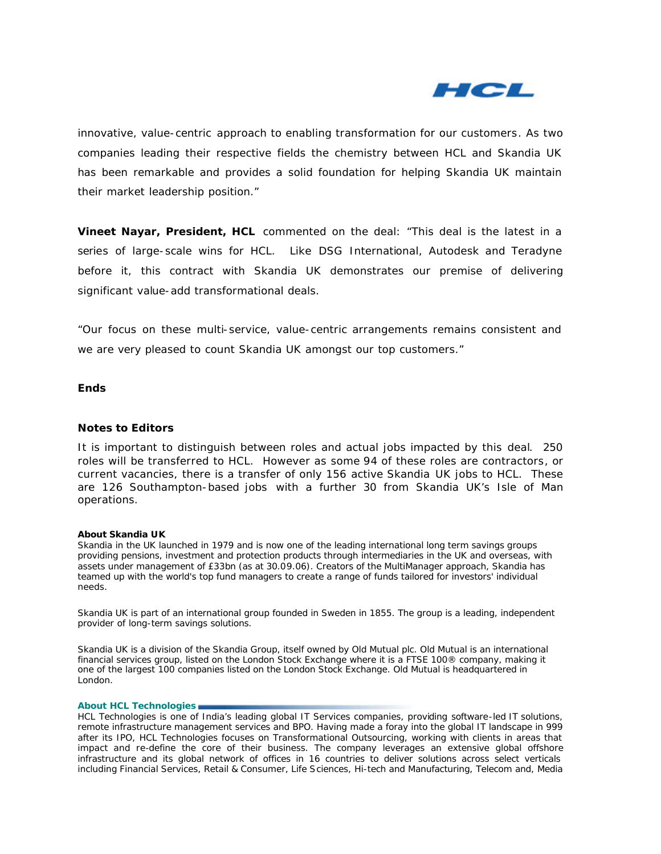

innovative, value-centric approach to enabling transformation for our customers. As two companies leading their respective fields the chemistry between HCL and Skandia UK has been remarkable and provides a solid foundation for helping Skandia UK maintain their market leadership position."

**Vineet Nayar, President, HCL** commented on the deal: "This deal is the latest in a series of large-scale wins for HCL. Like DSG International, Autodesk and Teradyne before it, this contract with Skandia UK demonstrates our premise of delivering significant value-add transformational deals.

"Our focus on these multi-service, value-centric arrangements remains consistent and we are very pleased to count Skandia UK amongst our top customers."

# **Ends**

## **Notes to Editors**

It is important to distinguish between roles and actual jobs impacted by this deal. 250 roles will be transferred to HCL. However as some 94 of these roles are contractors, or current vacancies, there is a transfer of only 156 active Skandia UK jobs to HCL. These are 126 Southampton-based jobs with a further 30 from Skandia UK's Isle of Man operations.

## **About Skandia UK**

Skandia in the UK launched in 1979 and is now one of the leading international long term savings groups providing pensions, investment and protection products through intermediaries in the UK and overseas, with assets under management of £33bn (as at 30.09.06). Creators of the MultiManager approach, Skandia has teamed up with the world's top fund managers to create a range of funds tailored for investors' individual needs.

Skandia UK is part of an international group founded in Sweden in 1855. The group is a leading, independent provider of long-term savings solutions.

Skandia UK is a division of the Skandia Group, itself owned by Old Mutual plc. Old Mutual is an international financial services group, listed on the London Stock Exchange where it is a FTSE 100® company, making it one of the largest 100 companies listed on the London Stock Exchange. Old Mutual is headquartered in London.

### **About HCL Technologies**

HCL Technologies is one of India's leading global IT Services companies, providing software-led IT solutions, remote infrastructure management services and BPO. Having made a foray into the global IT landscape in 999 after its IPO, HCL Technologies focuses on Transformational Outsourcing, working with clients in areas that impact and re-define the core of their business. The company leverages an extensive global offshore infrastructure and its global network of offices in 16 countries to deliver solutions across select verticals including Financial Services, Retail & Consumer, Life Sciences, Hi-tech and Manufacturing, Telecom and, Media